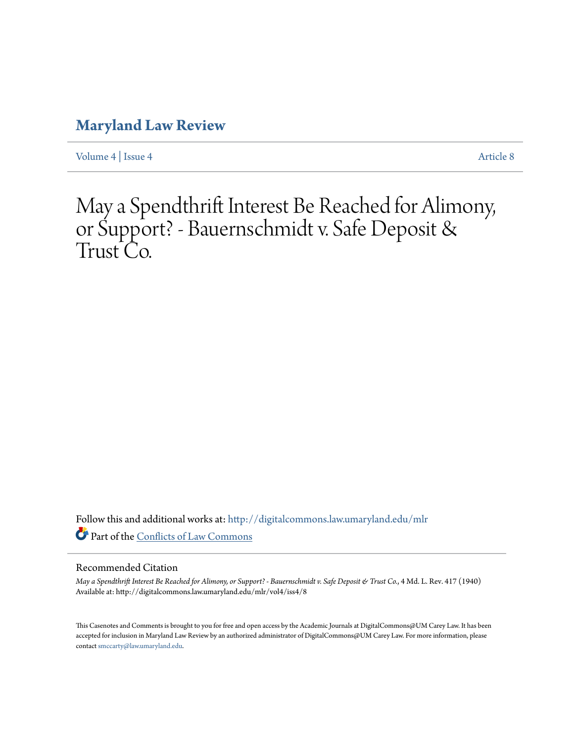## **[Maryland Law Review](http://digitalcommons.law.umaryland.edu/mlr?utm_source=digitalcommons.law.umaryland.edu%2Fmlr%2Fvol4%2Fiss4%2F8&utm_medium=PDF&utm_campaign=PDFCoverPages)**

[Volume 4](http://digitalcommons.law.umaryland.edu/mlr/vol4?utm_source=digitalcommons.law.umaryland.edu%2Fmlr%2Fvol4%2Fiss4%2F8&utm_medium=PDF&utm_campaign=PDFCoverPages) | [Issue 4](http://digitalcommons.law.umaryland.edu/mlr/vol4/iss4?utm_source=digitalcommons.law.umaryland.edu%2Fmlr%2Fvol4%2Fiss4%2F8&utm_medium=PDF&utm_campaign=PDFCoverPages) [Article 8](http://digitalcommons.law.umaryland.edu/mlr/vol4/iss4/8?utm_source=digitalcommons.law.umaryland.edu%2Fmlr%2Fvol4%2Fiss4%2F8&utm_medium=PDF&utm_campaign=PDFCoverPages)

# May a Spendthrift Interest Be Reached for Alimony, or Support? - Bauernschmidt v. Safe Deposit & Trust Co.

Follow this and additional works at: [http://digitalcommons.law.umaryland.edu/mlr](http://digitalcommons.law.umaryland.edu/mlr?utm_source=digitalcommons.law.umaryland.edu%2Fmlr%2Fvol4%2Fiss4%2F8&utm_medium=PDF&utm_campaign=PDFCoverPages) Part of the [Conflicts of Law Commons](http://network.bepress.com/hgg/discipline/588?utm_source=digitalcommons.law.umaryland.edu%2Fmlr%2Fvol4%2Fiss4%2F8&utm_medium=PDF&utm_campaign=PDFCoverPages)

### Recommended Citation

*May a Spendthrift Interest Be Reached for Alimony, or Support? - Bauernschmidt v. Safe Deposit & Trust Co.*, 4 Md. L. Rev. 417 (1940) Available at: http://digitalcommons.law.umaryland.edu/mlr/vol4/iss4/8

This Casenotes and Comments is brought to you for free and open access by the Academic Journals at DigitalCommons@UM Carey Law. It has been accepted for inclusion in Maryland Law Review by an authorized administrator of DigitalCommons@UM Carey Law. For more information, please contact [smccarty@law.umaryland.edu.](mailto:smccarty@law.umaryland.edu)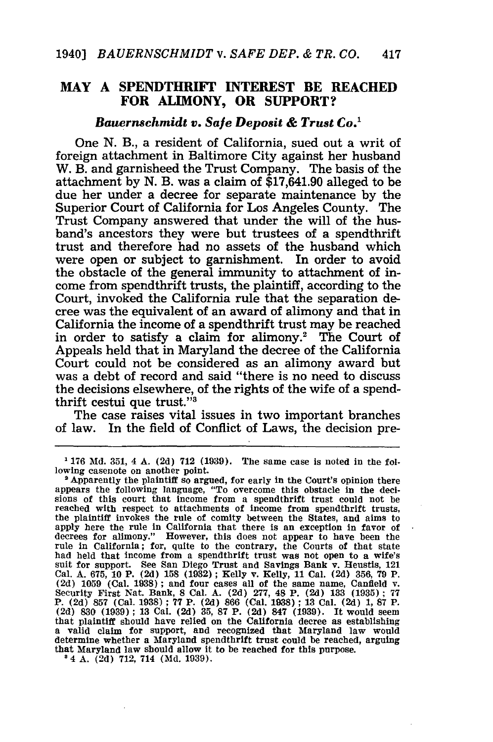### **MAY A SPENDTHRIFT INTEREST BE REACHED FOR ALIMONY, OR SUPPORT?**

#### *Bauernschmidt v. Safe Deposit & Trust Co.'*

One **N.** B., a resident of California, sued out a writ of foreign attachment in Baltimore City against her husband W. B. and garnisheed the Trust Company. The basis of the attachment **by N.** B. was a claim of **\$17,641.90** alleged to be due her under a decree for separate maintenance **by** the Superior Court of California for Los Angeles County. The Trust Company answered that under the will of the husband's ancestors they were but trustees of a spendthrift trust and therefore had no assets of the husband which were open or subject to garnishment. In order to avoid the obstacle of the general immunity to attachment of income from spendthrift trusts, the plaintiff, according to the Court, invoked the California rule that the separation decree was the equivalent of an award of alimony and that in California the income of a spendthrift trust may be reached in order to satisfy a claim for alimony.<sup>2</sup> The Court of Appeals held that in Maryland the decree of the California Court could not be considered as an alimony award but was a debt of record and said "there is no need to discuss the decisions elsewhere, of the rights of the wife of a spendthrift cestui que trust."'

The case raises vital issues in two important branches of law. In the field of Conflict of Laws, the decision pre-

**<sup>1 176</sup> Md. 351,** 4 **A. (2d) 712 (1939).** The same case is noted in the following casenote on another point.<br><sup>2</sup> Apparently the plaintiff so argued, for early in the Court's opinion there

appears the following language, "To overcome this obstacle in the decisions of this court that Income from a spendthrift trust could not be reached with respect to attachments of income from spendthrift trusts, the plaintiff invokes the rule of comity between the States, and alms to<br>apply here the rule in California that there is an exception in favor of<br>decrees for alimony." However, this does not appear to have been the rule in California; for, quite to the contrary, the Courts of that state had held that income from a spendthrift trust was not open to a wife's suit for support. See San Diego Trust and Savings Bank v. Heustis, 121 Cal. A. 675, 10 P. (2d) 158 (1932); Kelly v. Kelly, 11 Cal. (2d) 356, 79 P. (2d) 1059 (Cal. 1938); and four cases all of the same name, Canfield v. Security First Nat. Bank, 8 Cal. A. (2d) 277, 48 P. (2d) 133 (1935); 77 P. (2d) 857 (Cal. 1938); 77 P. (2d) 866 (Cal. 1938); 13 Cal. (2d) 1, 87 P.<br>(2d) 830 (1939); 13 Cal. (2d) 35, 87 P. (2d) 847 (1939). It would seem that plaintiff should have relied on the California decree as establishing a valid claim for support, and recognized that Maryland law would determine whether a Maryland spendthrift trust could be reached, arguing that Maryland law should allow it to be reached for this purpose.

<sup>&#</sup>x27;4 **A. (2d) 712,** 714 **(Md. 1939).**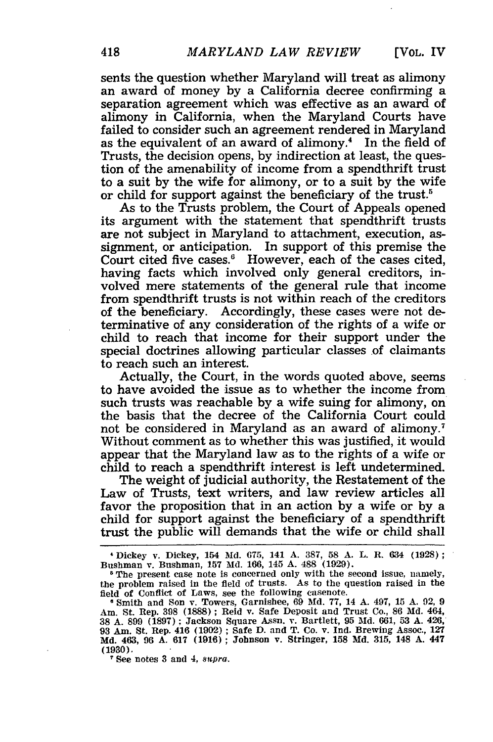sents the question whether Maryland will treat as alimony an award of money by a California decree confirming a separation agreement which was effective as an award of alimony in California, when the Maryland Courts have failed to consider such an agreement rendered in Maryland as the equivalent of an award of alimony.<sup>4</sup> In the field of Trusts, the decision opens, by indirection at least, the question of the amenability of income from a spendthrift trust to a suit by the wife for alimony, or to a suit by the wife or child for support against the beneficiary of the trust.<sup>5</sup>

As to the Trusts problem, the Court of Appeals opened its argument with the statement that spendthrift trusts are not subject in Maryland to attachment, execution, assignment, or anticipation. In support of this premise the Court cited five cases. $6$  However, each of the cases cited, having facts which involved only general creditors, involved mere statements of the general rule that income from spendthrift trusts is not within reach of the creditors of the beneficiary. Accordingly, these cases were not determinative of any consideration of the rights of a wife or child to reach that income for their support under the special doctrines allowing particular classes of claimants to reach such an interest.

Actually, the Court, in the words quoted above, seems to have avoided the issue as to whether the income from such trusts was reachable by a wife suing for alimony, on the basis that the decree of the California Court could not be considered in Maryland as an award of alimony.<sup>7</sup> Without comment as to whether this was justified, it would appear that the Maryland law as to the rights of a wife or child to reach a spendthrift interest is left undetermined.

The weight of judicial authority, the Restatement of the Law of Trusts, text writers, and law review articles all favor the proposition that in an action by a wife or by a child for support against the beneficiary of a spendthrift trust the public will demands that the wife or child shall

IDickey v. Dickey, 154 Md. 675, 141 A. 387, 58 A. L. R. 634 **(1928);** Bushman v. Bushman, **157** Md. 166, 145 A. 488 (1929).

<sup>&</sup>lt;sup>5</sup> The present case note is concerned only with the second issue, namely, the problem raised in the field of trusts. As to the question raised in the field of Conflict of Laws, see the following casenote.

**<sup>6</sup>** Smith and Son v. Towers, Garnishee, 69 **Md. 77,** 14 A. 497, 15 A. 92, 9 Am. St. Rep. 398 (1888) ; Reid v. Safe Deposit and Trust Co., 86 Md. 464, 38 A. 899 (1897): Jackson Square Assn. v. Bartlett, **95** Md. 661, **53** A. 426, 93 Am. St. Rep. 416 (1902); Safe D. and T. Co. v. Ind. Brewing Assoc., **127 Md.** 463, 96 **A. 617 (1916);** Johnson v. Stringer, **158 Md. 315,** 148 A. 447 **(1930). <sup>7</sup>**See notes **3** and 4, *8upra.*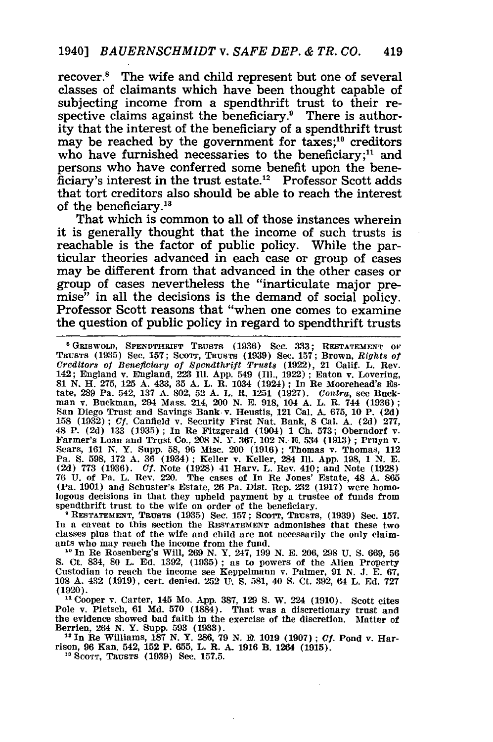recover.<sup>8</sup> The wife and child represent but one of several classes of claimants which have been thought capable of subjecting income from a spendthrift trust to their respective claims against the beneficiary.<sup>9</sup> There is authority that the interest of the beneficiary of a spendthrift trust may be reached by the government for taxes;<sup>10</sup> creditors who have furnished necessaries to the beneficiary;<sup>11</sup> and persons who have conferred some benefit upon the bene $ficiency's$  interest in the trust estate.<sup>12</sup> Professor Scott adds that tort creditors also should be able to reach the interest of the beneficiary.<sup>13</sup>

That which is common to all of those instances wherein it is generally thought that the income of such trusts is reachable is the factor of public policy. While the particular theories advanced in each case or group of cases may be different from that advanced in the other cases or group of cases nevertheless the "inarticulate major premise" in all the decisions is the demand of social policy. Professor Scott reasons that "when one comes to examine the question of public policy in regard to spendthrift trusts

<sup>8</sup> GRISWOLD, SPENDTHRIFT TRUSTS (1936) Sec. 333; RESTATEMENT OF<br>TRUSTS (1935) Sec. 157; SCOTT, TRUSTS (1939) Sec. 157; Brown, Rights of<br>Creditors of Beneficiary of Spendthrift Trusts (1922), 21 Calif. L. Rev. 142; England v. England, **223 I1. App.** 549 **(I1., 1922):** Eaton v. Lovering, **81** *N.* **H. 275, 125 A.** 433, **35 A.** L. R. 1034 **(1924) ;** In Re Moorehead's Es-tate, **289** Pa. 542, **137 A. 802, 52 A.** L. R. **1251 (1927).** *Contra,* see Buckman v. Buckman, 294 Mass. 214, 200 **N. E. 918,** 104 **A.** L. R. 744 **(1936);** San Diego Trust and Savings Bank v. Heustis, 121 Cal. **A. 675, 10** P. **(2d) 158 (1932) ;** *Cf.* Canfield v. Security First Nat. Bank, **8** Cal. **A. (2d) 277,** 48 P. (2d) 133 (1935); In Re Fitzgerald (1904) 1 Ch. 573; Oberndorf v. Farmer's Loan and Trust Co., 208 N. Y. 367, 102 N. E. 534 (1913); Pruyn v. Sears, 161 N. Y. Supp. 58, 96 Misc. 200 (1916); Thomas v. Thomas, 112 Pa. S. **(2d) 773 (1936).** *Cf.* Note **(1928)** 41 Harv. L. Rev. 410; and Note **(1928) 76 U.** of Pa. L. Rev. 220. The cases of In Re Jones' Estate, 48 **A. 865** (Pa. **1901)** and Schuster's Estate, **26** Pa. Dist. Rep. **232 (1917)** were homologous decisions in that they upheld payment **by** a trustee of funds from spendthrift trust to the wife on order of the beneficiary. **<sup>9</sup>RESTATEMENT, TRUSTS (1935)** Sec. **157; SCOTT, TRUSTS, (1939)** See. **157.**

**In** a caveat to this section the **RESTATEMENT** admonishes that these two classes plus that of the wife and child are not necessarily the only claimants who may reach the income from the fund.

**11** In Re Rosenberg's Will, **269 N.** Y. 247, **199 N. E. 206, 298 U. S. 669, 56 S.** Ct. 834, **80** L. **Ed. 1392, (1935);** as to powers of the Alien Property Custodian to reach the income see Keppelmann v. Palmer, **91 N. J. E. 67, 108 A.** 432 **(1919),** cert. denied, **252 U. S. 581,** 40 **S.** Ct. **392,** 64 L. **Ed. 727** (1920).

**<sup>11</sup>**Cooper v. Carter, 145 Mo. App. 387, 129 **S.** W. 224 (1910). Scott cites Pole v. Pietsch, 61 Md. 570 (1884). That was a discretionary trust and the evidence showed bad faith in the exercise of the discretion. Matter of Berrien, 264 N. Y. Supp. 593 (1933).

**12** In Re Williams, 187 N. Y. 286, 79 N. **E.** 1019 (1907) ; *Cf.* Pond v. Har-<br>rison, 96 Kan. 542, 152 P. 655, L. R. A. 1916 B. 1264 (1915).

**" SCOTT, TRUSTS** (1939) Sec. 157.5.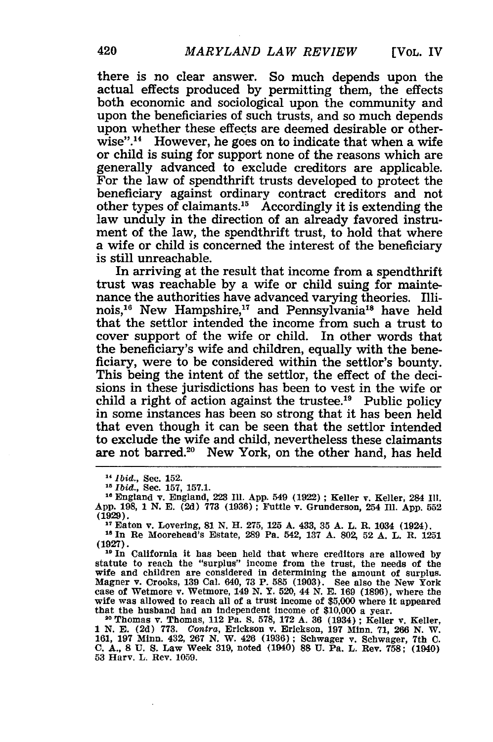there is no clear answer. So much depends upon the actual effects produced by permitting them, the effects both economic and sociological upon the community and upon the beneficiaries of such trusts, and so much depends upon whether these effects are deemed desirable or otherwise".<sup>14</sup> However, he goes on to indicate that when a wife or child is suing for support none of the reasons which are generally advanced to exclude creditors are applicable. For the law of spendthrift trusts developed to protect the beneficiary against ordinary contract creditors and not other types of claimants.<sup>15</sup> Accordingly it is extending the law unduly in the direction of an already favored instrument of the law, the spendthrift trust, to hold that where a wife or child is concerned the interest of the beneficiary is still unreachable.

In arriving at the result that income from a spendthrift trust was reachable by a wife or child suing for maintenance the authorities have advanced varying theories. Illinois,<sup>16</sup> New Hampshire,<sup>17</sup> and Pennsylvania<sup>18</sup> have held that the settlor intended the income from such a trust to cover support of the wife or child. In other words that the beneficiary's wife and children, equally with the beneficiary, were to be considered within the settlor's bounty. This being the intent of the settlor, the effect of the decisions in these jurisdictions has been to vest in the wife or child a right of action against the trustee.<sup>19</sup> Public policy in some instances has been so strong that it has been held that even though it can be seen that the settlor intended to exclude the wife and child, nevertheless these claimants are not barred.<sup>20</sup> New York, on the other hand, has held

<sup>19</sup> In California it has been held that where creditors are allowed by statute to reach the "surplus" income from the trust, the needs of the wife and children are considered in determining the amount of surplus. Magner v. Crooks, **139** Cal. 640, **73** P. **585 (1903).** See also the New York case of Wetmore v. Wetmore, 149 **N.** Y. 520, 44 **N. E. 169 (1896),** where the wife was allowed to reach all of a trust income of **\$5,000** where it appeared that the husband bad an independent income of \$10,000 a year.

**<sup>20</sup>**Thomas v. Thomas, 112 Pa. **S. 578, 172 A. 36** (1934) **;** Keller v. Keller, 1 N. **E.** (2d) **773.** *Contra,* Erickson v. Erickson, 197 Minn. 71, 266 N. W. 161, **197** Minn. 432, 267 N. W. 426 **(1936);** Schwager v. Schwager, 7th **C. C. A., 8 U. S.** Law Week 319, noted (1940) **88 U.** Pa. L. Rev. **758;** (1940) **53** Harv. L. Rev. 1059.

**<sup>11</sup>** *Ibid.,* Sec. 152.

<sup>&</sup>lt;sup>16</sup> England v. England, 223 Ill. App. 549 (1922) ; Keller v. Keller, 284 Ill. **App.** 198, 1 **N. E.** (2d) **773** (1936) ; Futtle v. Grunderson, 254 Ill. App. **552 (1929). <sup>17</sup>**Eaton v. Lovering, **81 N.** H. **275, 125 A.** 433, **35 A.** L. **R.** 1034 (1924).

**<sup>18</sup>**In Re Moorehead's Estate, **289** Pa. 542, **137 A.** 802, **52 A.** L. R. **1251**

**<sup>(1927).</sup>**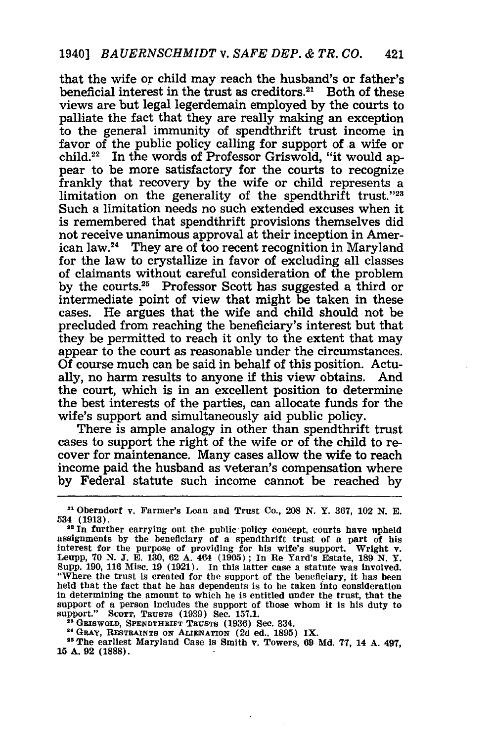that the wife or child may reach the husband's or father's beneficial interest in the trust as creditors. $21$  Both of these views are but legal legerdemain employed by the courts to palliate the fact that they are really making an exception to the general immunity of spendthrift trust income in favor of the public policy calling for support of a wife or child.22 In the words of Professor Griswold, "it would appear to be more satisfactory for the courts to recognize frankly that recovery by the wife or child represents a limitation on the generality of the spendthrift trust."28 Such a limitation needs no such extended excuses when it is remembered that spendthrift provisions themselves did not receive unanimous approval at their inception in American law.24 They are of too recent recognition in Maryland for the law to crystallize in favor of excluding all classes of claimants without careful consideration of the problem by the courts.<sup>25</sup> Professor Scott has suggested a third or intermediate point of view that might be taken in these cases. He argues that the wife and child should not be precluded from reaching the beneficiary's interest but that they be permitted to reach it only to the extent that may appear to the court as reasonable under the circumstances. Of course much can be said in behalf of this position. Actually, no harm results to anyone if this view obtains. And the court, which is in an excellent position to determine the best interests of the parties, can allocate funds for the wife's support and simultaneously aid public policy.

There is ample analogy in other than spendthrift trust cases to support the right of the wife or of the child to recover for maintenance. Many cases allow the wife to reach income paid the husband as veteran's compensation where by Federal statute such income cannot be reached by

**<sup>23</sup>**GRSWOLD, **SPENDTHRIFT** TRuSTS **(1936)** Sec. 334.

**2, GRAy, RESTAINTS** ON **AIENATION (2d** ed., **1895)** IX. **<sup>25</sup> The** earliest Maryland Case is Smith **v.** Towers, **69 Md. 77,** 14 **A.** 497, **15 A. 92 (1888).**

**<sup>21</sup>**Oberndorf v. Farmer's Loan and Trust Co., **208 N.** Y. **367,** 102 **N. E.** 534 **(1913).**

<sup>&</sup>lt;sup>22</sup> In further carrying out the public policy concept, courts have upheld assignments by the beneficiary of a spendthrift trust of a part of his interest for the purpose of providing for his wife's support. Wright v. Leupp, **70** N. **J.** E. 130, 62 **A.** 464 (1905) ; In Re Yard's Estate, 189 N. Y. Supp. 190, 116 Misc. 19 (1921). In this latter case a statute was involved. "Where the trust is created for the support of the beneficiary, it has been held that the fact that he has dependents is to be taken into consideration in determining the amount to which he is entitled under the trust, that the support of a person includes the support of those whom it is his duty to support." **SCOTT, TRuSTS (1939)** Sec. **157.1.**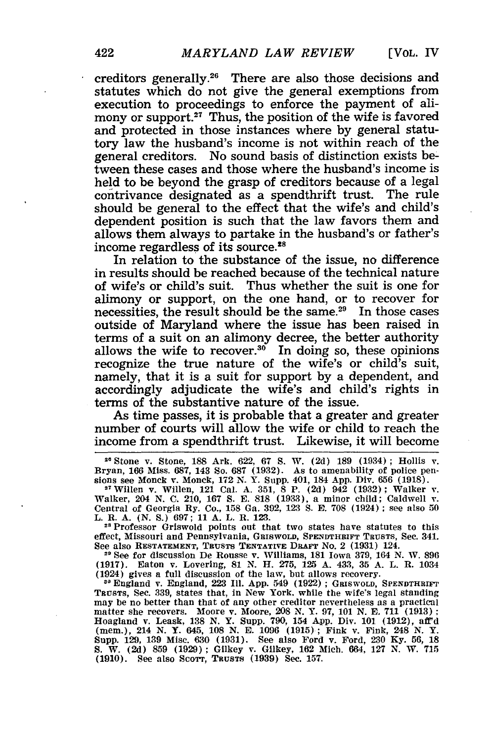creditors generally.26 There are also those decisions and statutes which do not give the general exemptions from execution to proceedings to enforce the payment of alimony or support.<sup>27</sup> Thus, the position of the wife is favored and protected in those instances where **by** general statutory law the husband's income is not within reach of the general creditors. No sound basis of distinction exists between these cases and those where the husband's income is held to be beyond the grasp of creditors because of a legal contrivance designated as a spendthrift trust. The rule should be general to the effect that the wife's and child's dependent position is such that the law favors them and allows them always to partake in the husband's or father's income regardless of its source.<sup>28</sup>

In relation to the substance of the issue, no difference in results should be reached because of the technical nature of wife's or child's suit. Thus whether the suit is one for alimony or support, on the one hand, or to recover for necessities, the result should be the same.<sup>29</sup> In those cases outside of Maryland where the issue has been raised in terms of a suit on an alimony decree, the better authority allows the wife to recover. $30$  In doing so, these opinions recognize the true nature of the wife's or child's suit, namely, that it is a suit for support **by** a dependent, and accordingly adjudicate the wife's and child's rights in terms of the substantive nature of the issue.

As time passes, it is probable that a greater and greater number of courts will allow the wife or child to reach the income from a spendthrift trust. Likewise, it will become

**<sup>26</sup>**Stone v. Stone, **188** Ark. **622, 67 S.** W. **(2d) 189** (1934); Hollis v. Bryan, **166** Miss. **687, 143 So. 687 (1932).** As to amenability of police pen-sions see Monck v. Monck, **172 N.** Y. Supp. 401, 184 **App.** Div. **656 (1918).**

**<sup>27</sup>**Willen v. Willen, 121 Cal. **A. 351, 8** P. **(2d)** 942 **(1932);** Walker v. Walker, 204 **N. C.** 210, **167 S. E. 818 (1933),** a minor child; Caldwell **v.** Central of Georgia **By.** Co., **158** Ga. **392, 123 S.** E. **708** (1924) see also **50** L. R. **A. (N. S.) 697; 11 A.** L. **R. 123.**

**2s** Professor Griswold points out that two states have statutes to this effect, Missouri and Pennsylvania, GRISWOLD, SPENDTHRIFT **TRUSTS,** Sec. 341. See also RESTATEMENT, TRUSTS TENTATIVE DRAFT No. 2 (1931) 124.

**-** See for discussion De Rousse v. Williams, **181** Iowa **379,** 164 **N.** W. **896 (1917).** Eaton v. Lovering, **81 N.** H. **275, 125 A.** 433, **35 A.** L. **R.** 1034 (1924) gives a full discussion of the law, but allows recovery.

<sup>30</sup> England v. England, 223 Ill. App. 549 (1922); GRISWOLD, SPENDTHRIFT TRUSTS, Sec. 339, states that, in New York. while the wife's legal standing may **be** no better than that of any other creditor nevertheless **as** a practical matter **she** recovers. Moore v. Moore, **208 N.** Y. **97, 101 N. E. 711 (1913) :** Hoagland v. Leask, **138 N.** Y. Supp. **790,** 154 **App.** Div. **101 (1912), aff'd** (mem.), 214 **N.** Y. 645, **108 N. E. 1096 (1915);** Fink v. Fink, 248 **N.** Y. Supp. **129, 139** Misc. **630 (1931).** See also Ford v. Ford, **230 Ky. 56, 18 S.** W. **(2d) 859 (1929);** Gilkey v. Gilkey, **162** Mich. 664, **127 N.** W. **715 (1910).** See also Scorr, **TRUSTS (1939)** Sec. **157.**